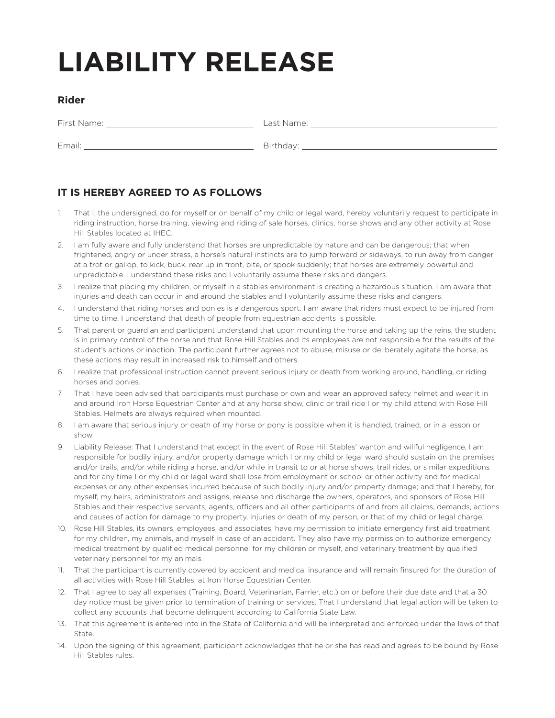## **LIABILITY RELEASE**

## **Rider**

First Name: Last Name:

Email: 2008. [2018] Birthday: 2018. [2018] Birthday: 2018. [2018] Birthday: 2018. [2018] Birthday: 2018. [2018] Birthday: 2018. [2018] Birthday: 2018. [2018] Birthday: 2018. [2018] Birthday: 2018. [2018] Birthday: 2018. [2

## **IT IS HEREBY AGREED TO AS FOLLOWS**

- 1. That I, the undersigned, do for myself or on behalf of my child or legal ward, hereby voluntarily request to participate in riding instruction, horse training, viewing and riding of sale horses, clinics, horse shows and any other activity at Rose Hill Stables located at IHEC.
- 2. I am fully aware and fully understand that horses are unpredictable by nature and can be dangerous; that when frightened, angry or under stress, a horse's natural instincts are to jump forward or sideways, to run away from danger at a trot or gallop, to kick, buck, rear up in front, bite, or spook suddenly; that horses are extremely powerful and unpredictable. I understand these risks and I voluntarily assume these risks and dangers.
- 3. I realize that placing my children, or myself in a stables environment is creating a hazardous situation. I am aware that injuries and death can occur in and around the stables and I voluntarily assume these risks and dangers.
- 4. I understand that riding horses and ponies is a dangerous sport. I am aware that riders must expect to be injured from time to time. I understand that death of people from equestrian accidents is possible.
- 5. That parent or guardian and participant understand that upon mounting the horse and taking up the reins, the student is in primary control of the horse and that Rose Hill Stables and its employees are not responsible for the results of the student's actions or inaction. The participant further agrees not to abuse, misuse or deliberately agitate the horse, as these actions may result in increased risk to himself and others.
- 6. I realize that professional instruction cannot prevent serious injury or death from working around, handling, or riding horses and ponies.
- 7. That I have been advised that participants must purchase or own and wear an approved safety helmet and wear it in and around Iron Horse Equestrian Center and at any horse show, clinic or trail ride I or my child attend with Rose Hill Stables. Helmets are always required when mounted.
- 8. I am aware that serious injury or death of my horse or pony is possible when it is handled, trained, or in a lesson or show.
- 9. Liability Release: That I understand that except in the event of Rose Hill Stables' wanton and willful negligence, I am responsible for bodily injury, and/or property damage which I or my child or legal ward should sustain on the premises and/or trails, and/or while riding a horse, and/or while in transit to or at horse shows, trail rides, or similar expeditions and for any time I or my child or legal ward shall lose from employment or school or other activity and for medical expenses or any other expenses incurred because of such bodily injury and/or property damage; and that I hereby, for myself, my heirs, administrators and assigns, release and discharge the owners, operators, and sponsors of Rose Hill Stables and their respective servants, agents, officers and all other participants of and from all claims, demands, actions and causes of action for damage to my property, injuries or death of my person, or that of my child or legal charge.
- 10. Rose Hill Stables, its owners, employees, and associates, have my permission to initiate emergency first aid treatment for my children, my animals, and myself in case of an accident. They also have my permission to authorize emergency medical treatment by qualified medical personnel for my children or myself, and veterinary treatment by qualified veterinary personnel for my animals.
- 11. That the participant is currently covered by accident and medical insurance and will remain finsured for the duration of all activities with Rose Hill Stables, at Iron Horse Equestrian Center.
- 12. That I agree to pay all expenses (Training, Board, Veterinarian, Farrier, etc.) on or before their due date and that a 30 day notice must be given prior to termination of training or services. That I understand that legal action will be taken to collect any accounts that become delinquent according to California State Law.
- 13. That this agreement is entered into in the State of California and will be interpreted and enforced under the laws of that State.
- 14. Upon the signing of this agreement, participant acknowledges that he or she has read and agrees to be bound by Rose Hill Stables rules.